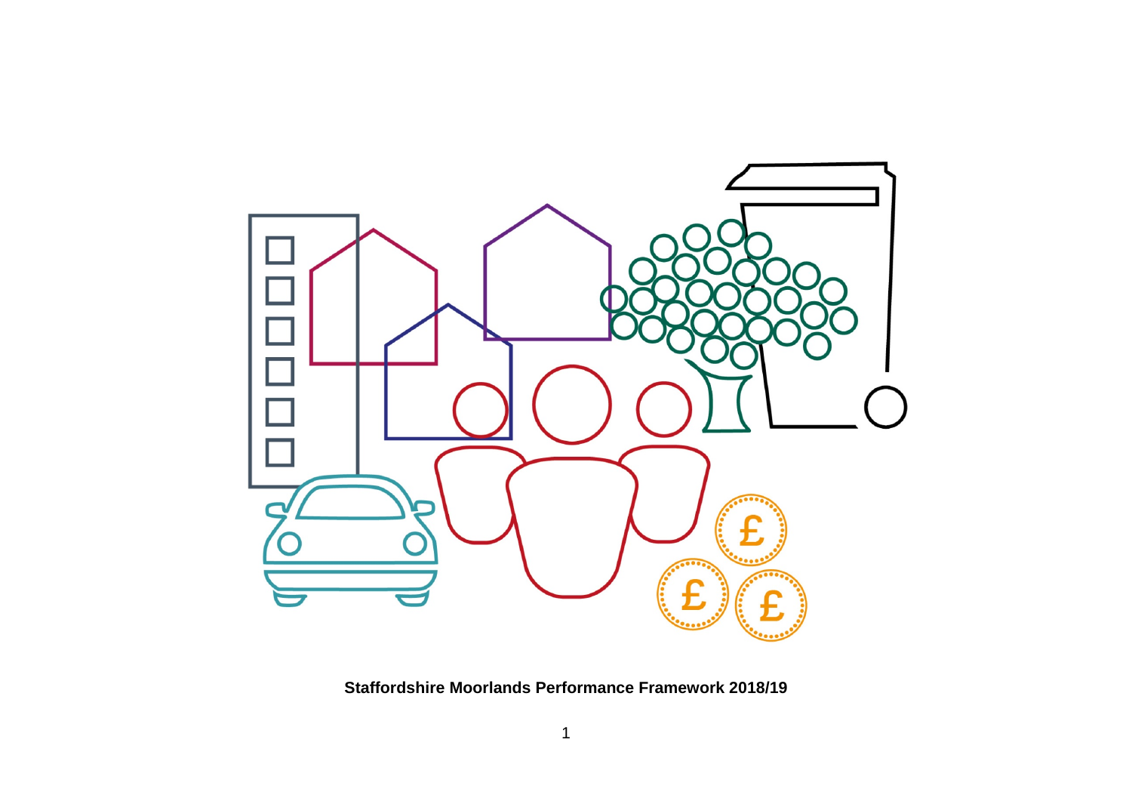

**Staffordshire Moorlands Performance Framework 2018/19**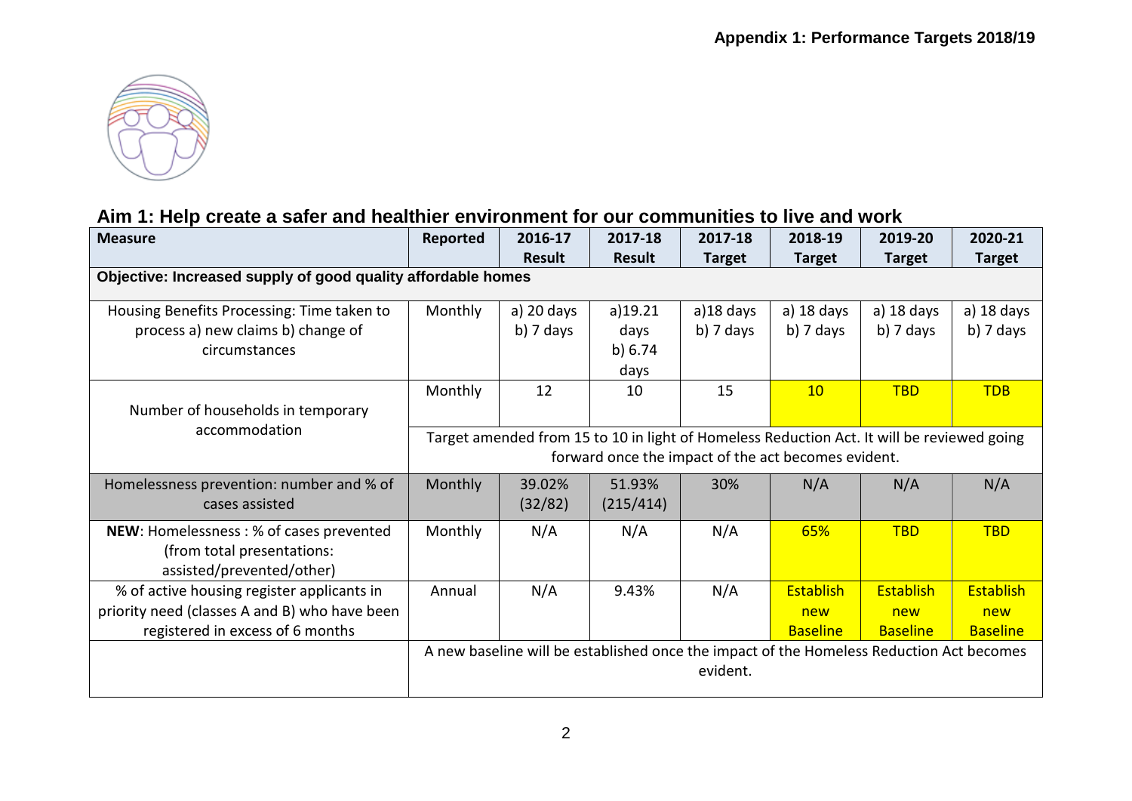

### **Aim 1: Help create a safer and healthier environment for our communities to live and work**

| <b>Measure</b>                                               | Reported                                                                                   | 2016-17       | 2017-18       | 2017-18       | 2018-19                                             | 2019-20                                                                                  | 2020-21         |  |  |
|--------------------------------------------------------------|--------------------------------------------------------------------------------------------|---------------|---------------|---------------|-----------------------------------------------------|------------------------------------------------------------------------------------------|-----------------|--|--|
|                                                              |                                                                                            | <b>Result</b> | <b>Result</b> | <b>Target</b> | <b>Target</b>                                       | <b>Target</b>                                                                            | <b>Target</b>   |  |  |
| Objective: Increased supply of good quality affordable homes |                                                                                            |               |               |               |                                                     |                                                                                          |                 |  |  |
| Housing Benefits Processing: Time taken to                   | Monthly                                                                                    | a) 20 days    | a)19.21       | a)18 days     | a) 18 days                                          | a) 18 days                                                                               | a) 18 days      |  |  |
| process a) new claims b) change of                           |                                                                                            | $b)$ 7 days   | days          | $b)$ 7 days   | $b)$ 7 days                                         | b) 7 days                                                                                | $b)$ 7 days     |  |  |
| circumstances                                                |                                                                                            |               | b) 6.74       |               |                                                     |                                                                                          |                 |  |  |
|                                                              |                                                                                            |               | days          |               |                                                     |                                                                                          |                 |  |  |
|                                                              | Monthly                                                                                    | 12            | 10            | 15            | 10                                                  | <b>TBD</b>                                                                               | <b>TDB</b>      |  |  |
| Number of households in temporary                            |                                                                                            |               |               |               |                                                     |                                                                                          |                 |  |  |
| accommodation                                                | Target amended from 15 to 10 in light of Homeless Reduction Act. It will be reviewed going |               |               |               |                                                     |                                                                                          |                 |  |  |
|                                                              |                                                                                            |               |               |               | forward once the impact of the act becomes evident. |                                                                                          |                 |  |  |
| Homelessness prevention: number and % of                     | Monthly                                                                                    | 39.02%        | 51.93%        | 30%           | N/A                                                 | N/A                                                                                      | N/A             |  |  |
| cases assisted                                               |                                                                                            | (32/82)       | (215/414)     |               |                                                     |                                                                                          |                 |  |  |
| NEW: Homelessness: % of cases prevented                      | Monthly                                                                                    | N/A           | N/A           | N/A           | 65%                                                 | <b>TBD</b>                                                                               | <b>TBD</b>      |  |  |
| (from total presentations:                                   |                                                                                            |               |               |               |                                                     |                                                                                          |                 |  |  |
| assisted/prevented/other)                                    |                                                                                            |               |               |               |                                                     |                                                                                          |                 |  |  |
| % of active housing register applicants in                   | Annual                                                                                     | N/A           | 9.43%         | N/A           | Establish                                           | <b>Establish</b>                                                                         | Establish       |  |  |
| priority need (classes A and B) who have been                |                                                                                            |               |               |               | new                                                 | new                                                                                      | new             |  |  |
| registered in excess of 6 months                             |                                                                                            |               |               |               | <b>Baseline</b>                                     | <b>Baseline</b>                                                                          | <b>Baseline</b> |  |  |
|                                                              |                                                                                            |               |               |               |                                                     | A new baseline will be established once the impact of the Homeless Reduction Act becomes |                 |  |  |
|                                                              |                                                                                            |               |               | evident.      |                                                     |                                                                                          |                 |  |  |
|                                                              |                                                                                            |               |               |               |                                                     |                                                                                          |                 |  |  |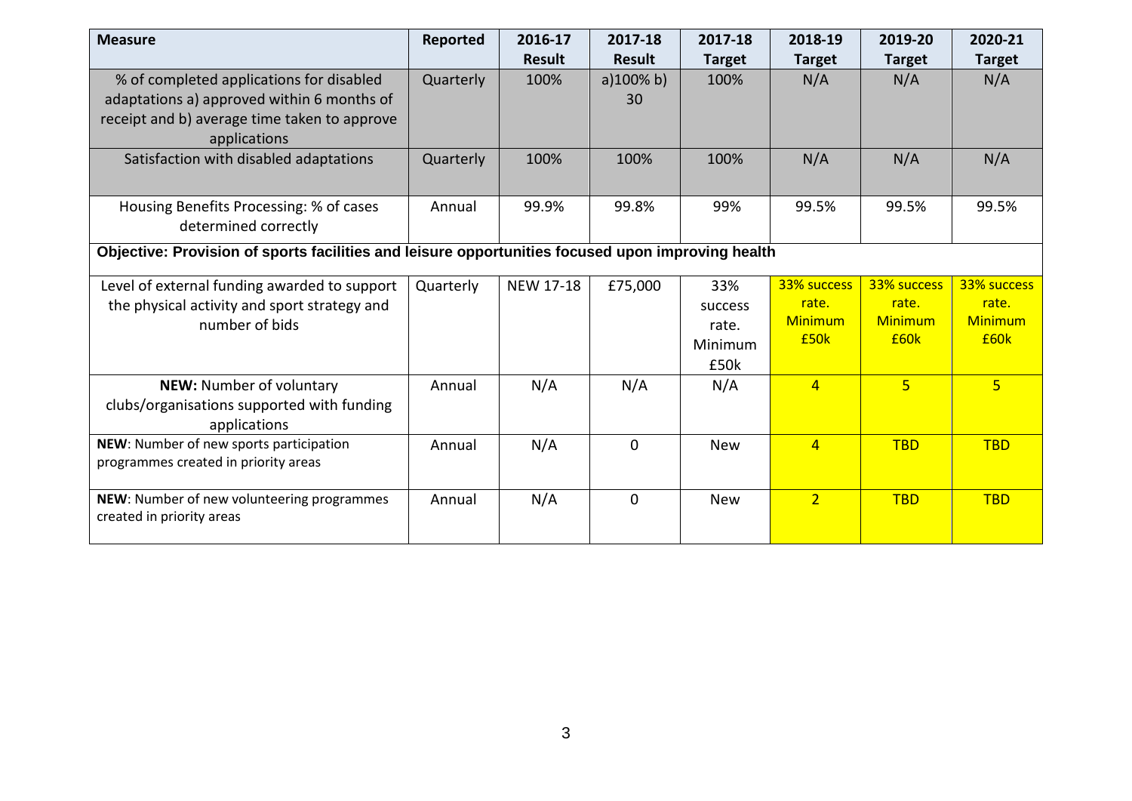| <b>Measure</b>                                                                                    | Reported  | 2016-17          | 2017-18       | 2017-18       | 2018-19        | 2019-20        | 2020-21        |  |  |
|---------------------------------------------------------------------------------------------------|-----------|------------------|---------------|---------------|----------------|----------------|----------------|--|--|
|                                                                                                   |           | <b>Result</b>    | <b>Result</b> | <b>Target</b> | <b>Target</b>  | <b>Target</b>  | <b>Target</b>  |  |  |
| % of completed applications for disabled                                                          | Quarterly | 100%             | a)100% b)     | 100%          | N/A            | N/A            | N/A            |  |  |
| adaptations a) approved within 6 months of                                                        |           |                  | 30            |               |                |                |                |  |  |
| receipt and b) average time taken to approve                                                      |           |                  |               |               |                |                |                |  |  |
| applications                                                                                      |           |                  |               |               |                |                |                |  |  |
| Satisfaction with disabled adaptations                                                            | Quarterly | 100%             | 100%          | 100%          | N/A            | N/A            | N/A            |  |  |
|                                                                                                   |           |                  |               |               |                |                |                |  |  |
| Housing Benefits Processing: % of cases                                                           | Annual    | 99.9%            | 99.8%         | 99%           | 99.5%          | 99.5%          | 99.5%          |  |  |
| determined correctly                                                                              |           |                  |               |               |                |                |                |  |  |
| Objective: Provision of sports facilities and leisure opportunities focused upon improving health |           |                  |               |               |                |                |                |  |  |
| Level of external funding awarded to support                                                      | Quarterly | <b>NEW 17-18</b> | £75,000       | 33%           | 33% success    | 33% success    | 33% success    |  |  |
| the physical activity and sport strategy and                                                      |           |                  |               | success       | rate.          | rate.          | rate.          |  |  |
| number of bids                                                                                    |           |                  |               | rate.         | <b>Minimum</b> | <b>Minimum</b> | <b>Minimum</b> |  |  |
|                                                                                                   |           |                  |               | Minimum       | £50k           | £60k           | £60k           |  |  |
|                                                                                                   |           |                  |               | £50k          |                |                |                |  |  |
| NEW: Number of voluntary                                                                          | Annual    | N/A              | N/A           | N/A           | $\overline{4}$ | 5 <sup>1</sup> | $\overline{5}$ |  |  |
| clubs/organisations supported with funding                                                        |           |                  |               |               |                |                |                |  |  |
| applications                                                                                      |           |                  |               |               |                |                |                |  |  |
| NEW: Number of new sports participation                                                           | Annual    | N/A              | $\Omega$      | <b>New</b>    | $\overline{4}$ | <b>TBD</b>     | <b>TBD</b>     |  |  |
| programmes created in priority areas                                                              |           |                  |               |               |                |                |                |  |  |
| NEW: Number of new volunteering programmes                                                        | Annual    | N/A              | $\Omega$      | <b>New</b>    | $\overline{2}$ | <b>TBD</b>     | <b>TBD</b>     |  |  |
| created in priority areas                                                                         |           |                  |               |               |                |                |                |  |  |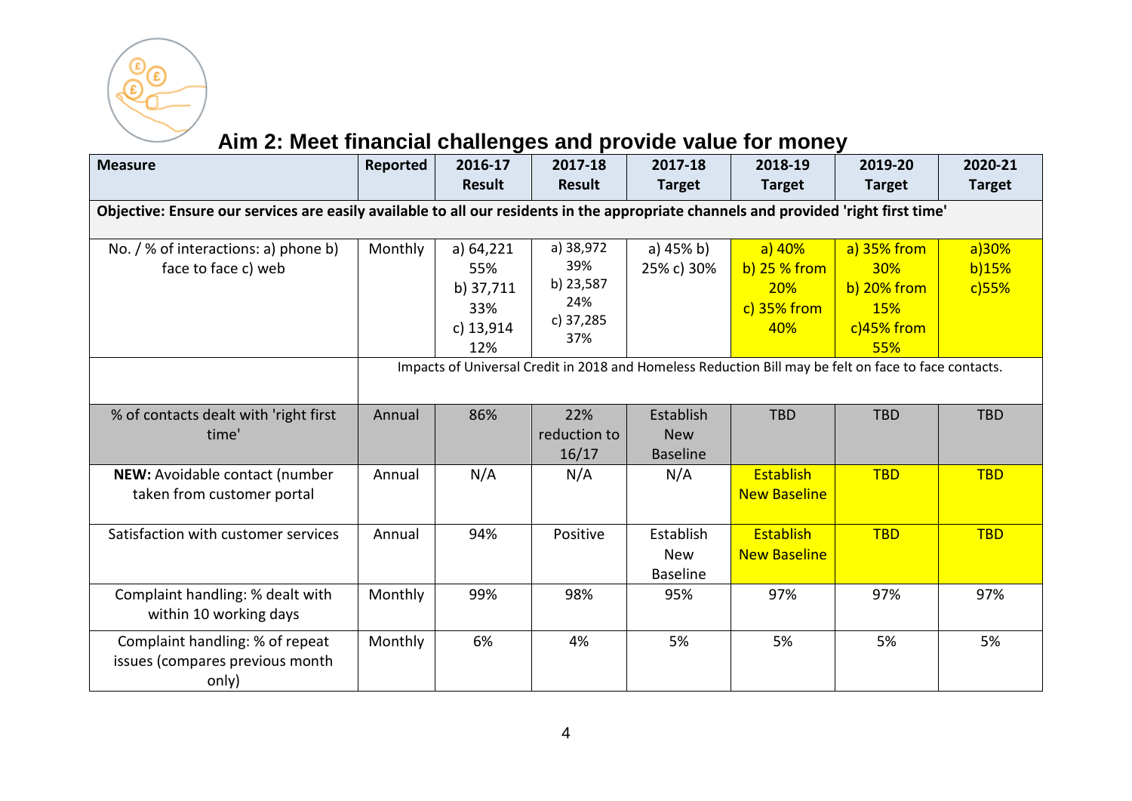

# **Aim 2: Meet financial challenges and provide value for money**

| <b>Measure</b>                                                                                                                       | Reported | 2016-17<br><b>Result</b>                                 | 2017-18<br><b>Result</b>                                 | 2017-18<br><b>Target</b>                   | 2018-19<br><b>Target</b>                                 | 2019-20<br><b>Target</b>                                                 | 2020-21<br><b>Target</b>   |  |  |
|--------------------------------------------------------------------------------------------------------------------------------------|----------|----------------------------------------------------------|----------------------------------------------------------|--------------------------------------------|----------------------------------------------------------|--------------------------------------------------------------------------|----------------------------|--|--|
| Objective: Ensure our services are easily available to all our residents in the appropriate channels and provided 'right first time' |          |                                                          |                                                          |                                            |                                                          |                                                                          |                            |  |  |
| No. / % of interactions: a) phone b)<br>face to face c) web                                                                          | Monthly  | a) 64,221<br>55%<br>b) 37,711<br>33%<br>c) 13,914<br>12% | a) 38,972<br>39%<br>b) 23,587<br>24%<br>c) 37,285<br>37% | a) 45% b)<br>25% c) 30%                    | $a)$ 40%<br>b) $25%$ from<br>20%<br>$c)$ 35% from<br>40% | a) 35% from<br>30%<br>$b)$ 20% from<br><b>15%</b><br>$c)45%$ from<br>55% | a)30%<br>b)15%<br>$c)$ 55% |  |  |
| Impacts of Universal Credit in 2018 and Homeless Reduction Bill may be felt on face to face contacts.                                |          |                                                          |                                                          |                                            |                                                          |                                                                          |                            |  |  |
| % of contacts dealt with 'right first<br>time'                                                                                       | Annual   | 86%                                                      | 22%<br>reduction to<br>16/17                             | Establish<br><b>New</b><br><b>Baseline</b> | <b>TBD</b>                                               | <b>TBD</b>                                                               | <b>TBD</b>                 |  |  |
| NEW: Avoidable contact (number<br>taken from customer portal                                                                         | Annual   | N/A                                                      | N/A                                                      | N/A                                        | Establish<br><b>New Baseline</b>                         | <b>TBD</b>                                                               | <b>TBD</b>                 |  |  |
| Satisfaction with customer services                                                                                                  | Annual   | 94%                                                      | Positive                                                 | Establish<br><b>New</b><br><b>Baseline</b> | Establish<br><b>New Baseline</b>                         | <b>TBD</b>                                                               | <b>TBD</b>                 |  |  |
| Complaint handling: % dealt with<br>within 10 working days                                                                           | Monthly  | 99%                                                      | 98%                                                      | 95%                                        | 97%                                                      | 97%                                                                      | 97%                        |  |  |
| Complaint handling: % of repeat<br>issues (compares previous month<br>only)                                                          | Monthly  | 6%                                                       | 4%                                                       | 5%                                         | 5%                                                       | 5%                                                                       | 5%                         |  |  |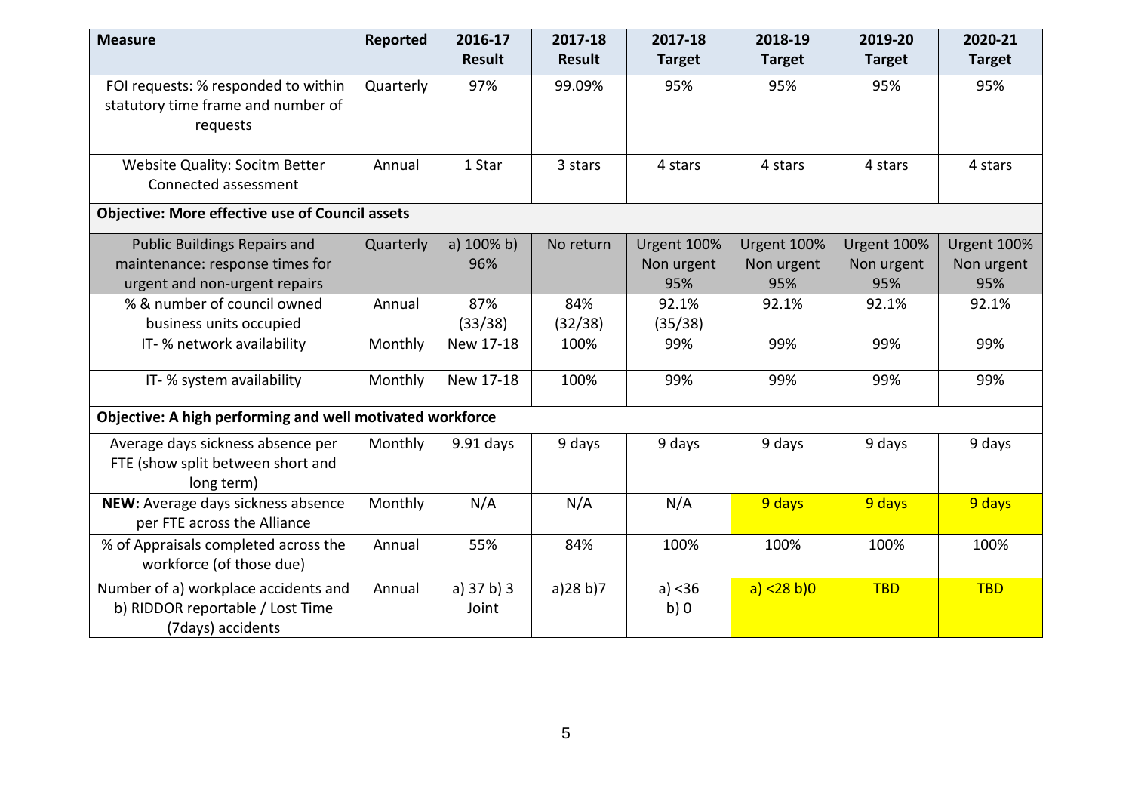| <b>Measure</b>                                                                                          | Reported  | 2016-17<br><b>Result</b> | 2017-18<br><b>Result</b> | 2017-18<br><b>Target</b>         | 2018-19<br><b>Target</b>         | 2019-20<br><b>Target</b>         | 2020-21<br><b>Target</b>         |
|---------------------------------------------------------------------------------------------------------|-----------|--------------------------|--------------------------|----------------------------------|----------------------------------|----------------------------------|----------------------------------|
| FOI requests: % responded to within<br>statutory time frame and number of<br>requests                   | Quarterly | 97%                      | 99.09%                   | 95%                              | 95%                              | 95%                              | 95%                              |
| <b>Website Quality: Socitm Better</b><br>Connected assessment                                           | Annual    | 1 Star                   | 3 stars                  | 4 stars                          | 4 stars                          | 4 stars                          | 4 stars                          |
| <b>Objective: More effective use of Council assets</b>                                                  |           |                          |                          |                                  |                                  |                                  |                                  |
| <b>Public Buildings Repairs and</b><br>maintenance: response times for<br>urgent and non-urgent repairs | Quarterly | a) $100\%$ b)<br>96%     | No return                | Urgent 100%<br>Non urgent<br>95% | Urgent 100%<br>Non urgent<br>95% | Urgent 100%<br>Non urgent<br>95% | Urgent 100%<br>Non urgent<br>95% |
| % & number of council owned                                                                             | Annual    | 87%                      | 84%                      | 92.1%                            | 92.1%                            | 92.1%                            | 92.1%                            |
| business units occupied                                                                                 |           | (33/38)                  | (32/38)                  | (35/38)                          |                                  |                                  |                                  |
| IT- % network availability                                                                              | Monthly   | New 17-18                | 100%                     | 99%                              | 99%                              | 99%                              | 99%                              |
| IT- % system availability                                                                               | Monthly   | New 17-18                | 100%                     | 99%                              | 99%                              | 99%                              | 99%                              |
| Objective: A high performing and well motivated workforce                                               |           |                          |                          |                                  |                                  |                                  |                                  |
| Average days sickness absence per<br>FTE (show split between short and<br>long term)                    | Monthly   | $9.91$ days              | 9 days                   | 9 days                           | 9 days                           | 9 days                           | 9 days                           |
| NEW: Average days sickness absence<br>per FTE across the Alliance                                       | Monthly   | N/A                      | N/A                      | N/A                              | 9 days                           | 9 days                           | 9 days                           |
| % of Appraisals completed across the<br>workforce (of those due)                                        | Annual    | 55%                      | 84%                      | 100%                             | 100%                             | 100%                             | 100%                             |
| Number of a) workplace accidents and<br>b) RIDDOR reportable / Lost Time<br>(7days) accidents           | Annual    | a) $37 b$ ) $3$<br>Joint | a)28 b)7                 | a) < 36<br>b)0                   | a) < 28 b)0                      | <b>TBD</b>                       | <b>TBD</b>                       |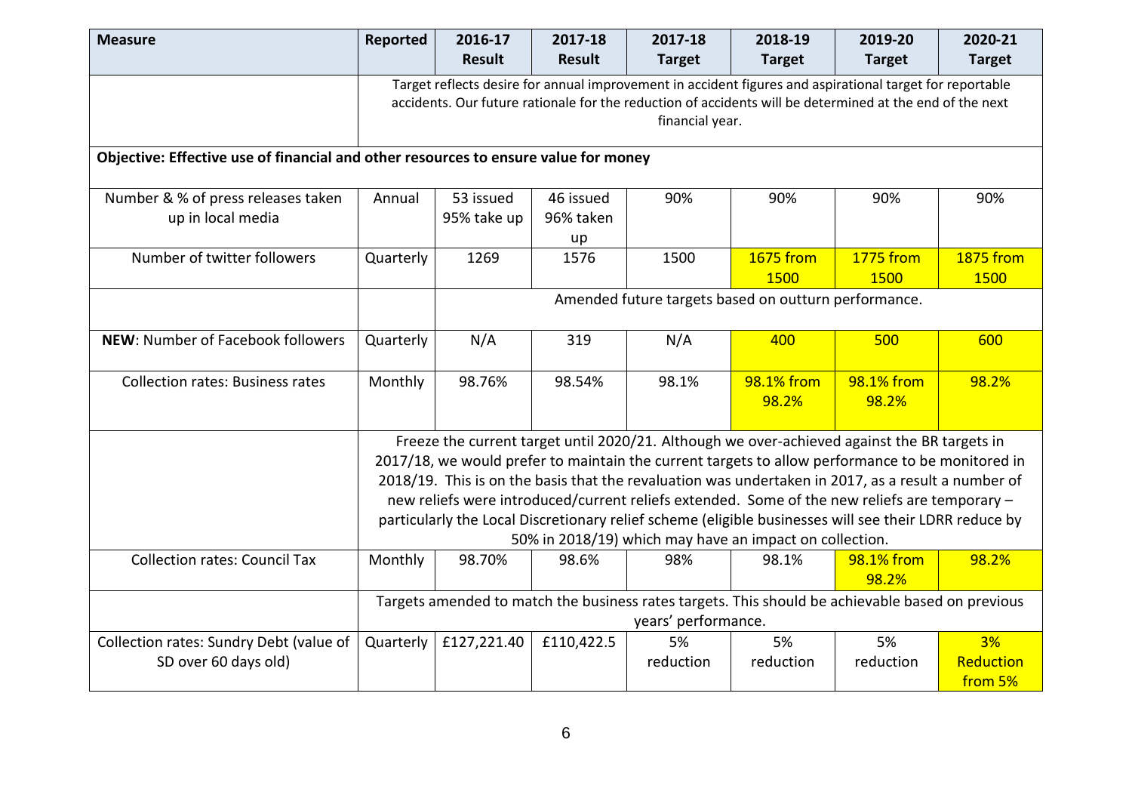| <b>Measure</b>                                                                      | Reported  | 2016-17<br><b>Result</b>                             | 2017-18<br>Result            | 2017-18<br><b>Target</b>                                | 2018-19<br><b>Target</b> | 2019-20<br><b>Target</b>                                                                                                                                                                                             | 2020-21<br><b>Target</b>        |  |  |  |  |
|-------------------------------------------------------------------------------------|-----------|------------------------------------------------------|------------------------------|---------------------------------------------------------|--------------------------|----------------------------------------------------------------------------------------------------------------------------------------------------------------------------------------------------------------------|---------------------------------|--|--|--|--|
|                                                                                     |           |                                                      |                              | financial year.                                         |                          | Target reflects desire for annual improvement in accident figures and aspirational target for reportable<br>accidents. Our future rationale for the reduction of accidents will be determined at the end of the next |                                 |  |  |  |  |
| Objective: Effective use of financial and other resources to ensure value for money |           |                                                      |                              |                                                         |                          |                                                                                                                                                                                                                      |                                 |  |  |  |  |
| Number & % of press releases taken<br>up in local media                             | Annual    | 53 issued<br>95% take up                             | 46 issued<br>96% taken<br>up | 90%                                                     | 90%                      | 90%                                                                                                                                                                                                                  | 90%                             |  |  |  |  |
| Number of twitter followers                                                         | Quarterly | 1269                                                 | 1576                         | 1500                                                    | <b>1675 from</b><br>1500 | <b>1775 from</b><br>1500                                                                                                                                                                                             | <b>1875 from</b><br><b>1500</b> |  |  |  |  |
|                                                                                     |           | Amended future targets based on outturn performance. |                              |                                                         |                          |                                                                                                                                                                                                                      |                                 |  |  |  |  |
| NEW: Number of Facebook followers                                                   | Quarterly | N/A                                                  | 319                          | N/A                                                     | 400                      | 500                                                                                                                                                                                                                  | 600                             |  |  |  |  |
| <b>Collection rates: Business rates</b>                                             | Monthly   | 98.76%                                               | 98.54%                       | 98.1%                                                   | 98.1% from<br>98.2%      | 98.1% from<br>98.2%                                                                                                                                                                                                  | 98.2%                           |  |  |  |  |
|                                                                                     |           |                                                      |                              |                                                         |                          | Freeze the current target until 2020/21. Although we over-achieved against the BR targets in                                                                                                                         |                                 |  |  |  |  |
|                                                                                     |           |                                                      |                              |                                                         |                          | 2017/18, we would prefer to maintain the current targets to allow performance to be monitored in                                                                                                                     |                                 |  |  |  |  |
|                                                                                     |           |                                                      |                              |                                                         |                          | 2018/19. This is on the basis that the revaluation was undertaken in 2017, as a result a number of                                                                                                                   |                                 |  |  |  |  |
|                                                                                     |           |                                                      |                              |                                                         |                          | new reliefs were introduced/current reliefs extended. Some of the new reliefs are temporary -                                                                                                                        |                                 |  |  |  |  |
|                                                                                     |           |                                                      |                              |                                                         |                          | particularly the Local Discretionary relief scheme (eligible businesses will see their LDRR reduce by                                                                                                                |                                 |  |  |  |  |
|                                                                                     |           |                                                      |                              | 50% in 2018/19) which may have an impact on collection. |                          |                                                                                                                                                                                                                      |                                 |  |  |  |  |
| <b>Collection rates: Council Tax</b>                                                | Monthly   | 98.70%                                               | 98.6%                        | 98%                                                     | 98.1%                    | 98.1% from<br>98.2%                                                                                                                                                                                                  | 98.2%                           |  |  |  |  |
|                                                                                     |           |                                                      |                              | years' performance.                                     |                          | Targets amended to match the business rates targets. This should be achievable based on previous                                                                                                                     |                                 |  |  |  |  |
| Collection rates: Sundry Debt (value of<br>SD over 60 days old)                     | Quarterly | £127,221.40                                          | £110,422.5                   | 5%<br>reduction                                         | 5%<br>reduction          | 5%<br>reduction                                                                                                                                                                                                      | 3%<br>Reduction<br>from 5%      |  |  |  |  |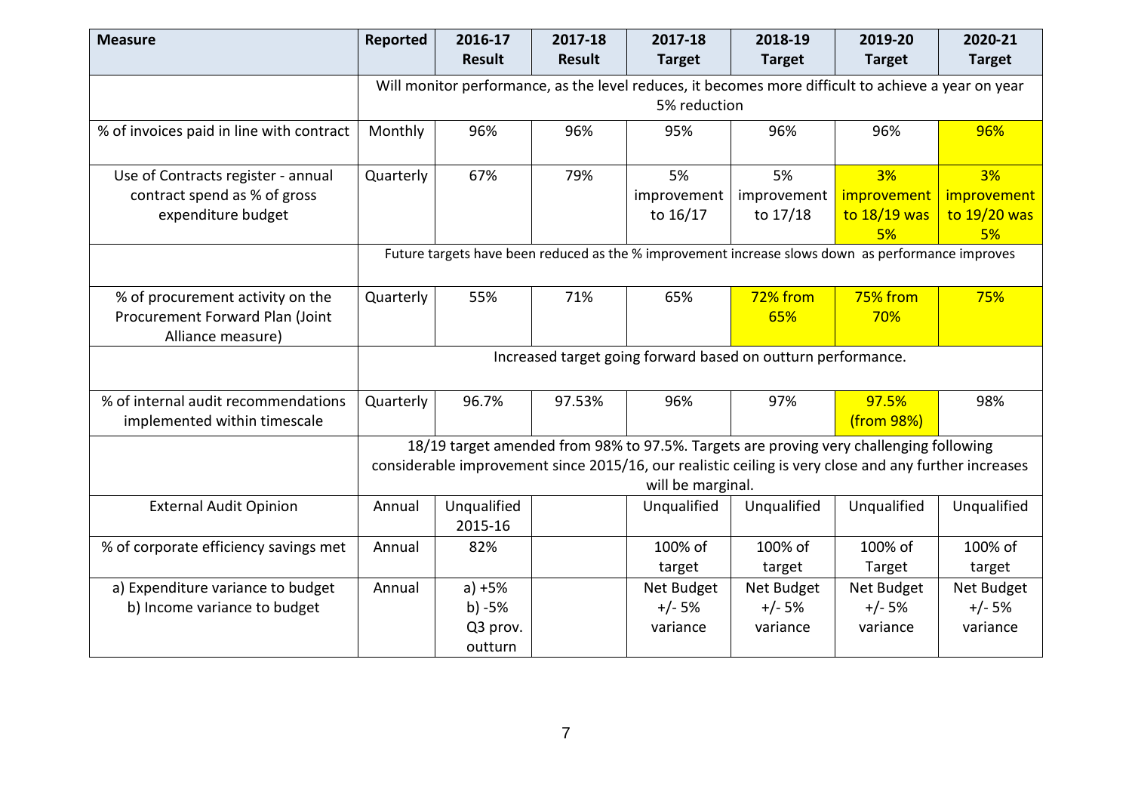| <b>Measure</b>                                       | Reported                                                                                          | 2016-17<br><b>Result</b> | 2017-18<br><b>Result</b> | 2017-18<br><b>Target</b>                                     | 2018-19<br><b>Target</b> | 2019-20<br><b>Target</b>                                                                                                                                                                        | 2020-21<br><b>Target</b> |  |  |
|------------------------------------------------------|---------------------------------------------------------------------------------------------------|--------------------------|--------------------------|--------------------------------------------------------------|--------------------------|-------------------------------------------------------------------------------------------------------------------------------------------------------------------------------------------------|--------------------------|--|--|
|                                                      |                                                                                                   |                          |                          |                                                              |                          | Will monitor performance, as the level reduces, it becomes more difficult to achieve a year on year                                                                                             |                          |  |  |
|                                                      |                                                                                                   |                          |                          | 5% reduction                                                 |                          |                                                                                                                                                                                                 |                          |  |  |
| % of invoices paid in line with contract             | Monthly                                                                                           | 96%                      | 96%                      | 95%                                                          | 96%                      | 96%                                                                                                                                                                                             | 96%                      |  |  |
| Use of Contracts register - annual                   | Quarterly                                                                                         | 67%                      | 79%                      | 5%                                                           | 5%                       | 3%                                                                                                                                                                                              | 3%                       |  |  |
| contract spend as % of gross                         |                                                                                                   |                          |                          | improvement                                                  | improvement              | improvement                                                                                                                                                                                     | improvement              |  |  |
| expenditure budget                                   |                                                                                                   |                          |                          | to 16/17                                                     | to 17/18                 | to 18/19 was                                                                                                                                                                                    | to 19/20 was             |  |  |
|                                                      |                                                                                                   |                          |                          |                                                              |                          | 5%                                                                                                                                                                                              | 5%                       |  |  |
|                                                      | Future targets have been reduced as the % improvement increase slows down as performance improves |                          |                          |                                                              |                          |                                                                                                                                                                                                 |                          |  |  |
| % of procurement activity on the                     | Quarterly                                                                                         | 55%                      | 71%                      | 65%                                                          | 72% from                 | 75% from                                                                                                                                                                                        | 75%                      |  |  |
| Procurement Forward Plan (Joint<br>Alliance measure) |                                                                                                   |                          |                          |                                                              | 65%                      | 70%                                                                                                                                                                                             |                          |  |  |
|                                                      |                                                                                                   |                          |                          | Increased target going forward based on outturn performance. |                          |                                                                                                                                                                                                 |                          |  |  |
| % of internal audit recommendations                  | Quarterly                                                                                         | 96.7%                    | 97.53%                   | 96%                                                          | 97%                      | 97.5%                                                                                                                                                                                           | 98%                      |  |  |
| implemented within timescale                         |                                                                                                   |                          |                          |                                                              |                          | (from 98%)                                                                                                                                                                                      |                          |  |  |
|                                                      |                                                                                                   |                          |                          | will be marginal.                                            |                          | 18/19 target amended from 98% to 97.5%. Targets are proving very challenging following<br>considerable improvement since 2015/16, our realistic ceiling is very close and any further increases |                          |  |  |
| <b>External Audit Opinion</b>                        | Annual                                                                                            | Unqualified<br>2015-16   |                          | Unqualified                                                  | Unqualified              | Unqualified                                                                                                                                                                                     | Unqualified              |  |  |
| % of corporate efficiency savings met                | Annual                                                                                            | 82%                      |                          | 100% of                                                      | 100% of                  | 100% of                                                                                                                                                                                         | 100% of                  |  |  |
|                                                      |                                                                                                   |                          |                          | target                                                       | target                   | Target                                                                                                                                                                                          | target                   |  |  |
| a) Expenditure variance to budget                    | Annual                                                                                            | $a) + 5%$                |                          | Net Budget                                                   | Net Budget               | Net Budget                                                                                                                                                                                      | Net Budget               |  |  |
| b) Income variance to budget                         |                                                                                                   | $b) -5%$                 |                          | $+/- 5%$                                                     | $+/- 5%$                 | $+/- 5%$                                                                                                                                                                                        | $+/- 5%$                 |  |  |
|                                                      |                                                                                                   | Q3 prov.                 |                          | variance                                                     | variance                 | variance                                                                                                                                                                                        | variance                 |  |  |
|                                                      |                                                                                                   | outturn                  |                          |                                                              |                          |                                                                                                                                                                                                 |                          |  |  |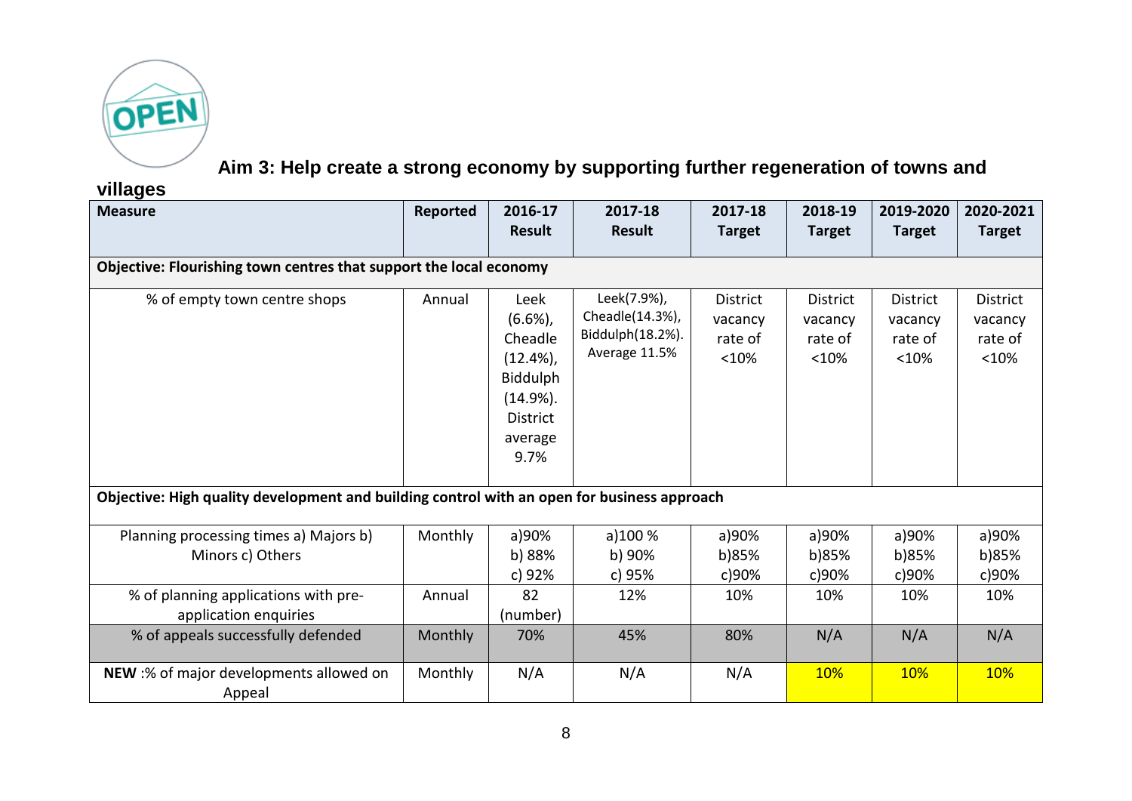

**Aim 3: Help create a strong economy by supporting further regeneration of towns and** 

**villages**

| ູອີ່<br><b>Measure</b>                                                                      | Reported | 2016-17<br><b>Result</b>                                                                                 | 2017-18<br><b>Result</b>                                            | 2017-18<br><b>Target</b>                       | 2018-19<br><b>Target</b>                       | 2019-2020<br><b>Target</b>                     | 2020-2021<br><b>Target</b>                     |
|---------------------------------------------------------------------------------------------|----------|----------------------------------------------------------------------------------------------------------|---------------------------------------------------------------------|------------------------------------------------|------------------------------------------------|------------------------------------------------|------------------------------------------------|
| Objective: Flourishing town centres that support the local economy                          |          |                                                                                                          |                                                                     |                                                |                                                |                                                |                                                |
| % of empty town centre shops                                                                | Annual   | Leek<br>(6.6%)<br>Cheadle<br>$(12.4\%)$<br>Biddulph<br>$(14.9\%).$<br><b>District</b><br>average<br>9.7% | Leek(7.9%),<br>Cheadle(14.3%),<br>Biddulph(18.2%).<br>Average 11.5% | <b>District</b><br>vacancy<br>rate of<br>< 10% | <b>District</b><br>vacancy<br>rate of<br>< 10% | <b>District</b><br>vacancy<br>rate of<br>< 10% | <b>District</b><br>vacancy<br>rate of<br>< 10% |
| Objective: High quality development and building control with an open for business approach |          |                                                                                                          |                                                                     |                                                |                                                |                                                |                                                |
| Planning processing times a) Majors b)<br>Minors c) Others                                  | Monthly  | a)90%<br>b) 88%<br>c) 92%                                                                                | a)100 %<br>b) 90%<br>c) 95%                                         | a)90%<br>b)85%<br>c)90%                        | a)90%<br>b)85%<br>c)90%                        | a)90%<br>b)85%<br>c)90%                        | a)90%<br>b)85%<br>c)90%                        |
| % of planning applications with pre-<br>application enquiries                               | Annual   | 82<br>(number)                                                                                           | 12%                                                                 | 10%                                            | 10%                                            | 10%                                            | 10%                                            |
| % of appeals successfully defended                                                          | Monthly  | 70%                                                                                                      | 45%                                                                 | 80%                                            | N/A                                            | N/A                                            | N/A                                            |
| NEW :% of major developments allowed on<br>Appeal                                           | Monthly  | N/A                                                                                                      | N/A                                                                 | N/A                                            | <b>10%</b>                                     | 10%                                            | 10%                                            |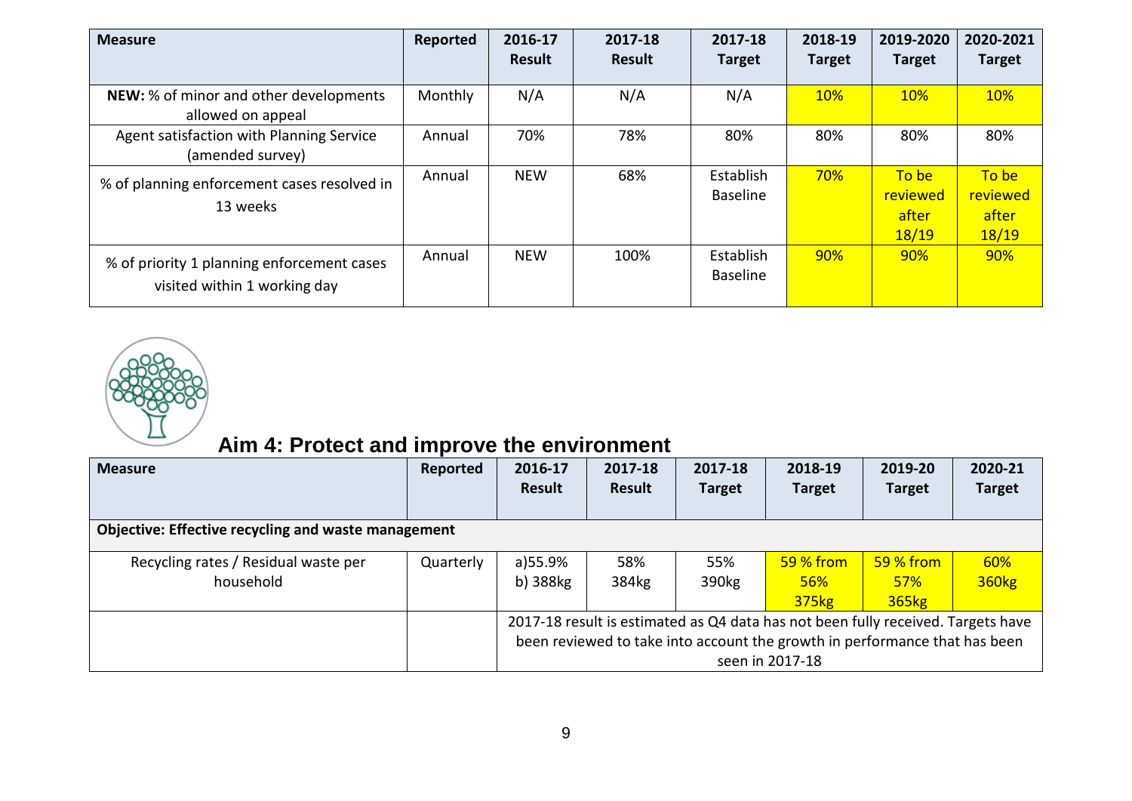| <b>Measure</b>                                                             | Reported | 2016-17<br><b>Result</b> | 2017-18<br>Result | 2017-18<br><b>Target</b>     | 2018-19<br><b>Target</b> | 2019-2020<br><b>Target</b>          | 2020-2021<br><b>Target</b>          |
|----------------------------------------------------------------------------|----------|--------------------------|-------------------|------------------------------|--------------------------|-------------------------------------|-------------------------------------|
| NEW: % of minor and other developments<br>allowed on appeal                | Monthly  | N/A                      | N/A               | N/A                          | 10%                      | 10%                                 | 10%                                 |
| Agent satisfaction with Planning Service<br>(amended survey)               | Annual   | 70%                      | 78%               | 80%                          | 80%                      | 80%                                 | 80%                                 |
| % of planning enforcement cases resolved in<br>13 weeks                    | Annual   | <b>NEW</b>               | 68%               | Establish<br><b>Baseline</b> | 70%                      | To be<br>reviewed<br>after<br>18/19 | To be<br>reviewed<br>after<br>18/19 |
| % of priority 1 planning enforcement cases<br>visited within 1 working day | Annual   | <b>NEW</b>               | 100%              | Establish<br><b>Baseline</b> | 90%                      | 90%                                 | 90%                                 |



## **Aim 4: Protect and improve the environment**

| <b>Measure</b>                                             | Reported  | 2016-17<br><b>Result</b>                                                                                                                                                          | 2017-18<br><b>Result</b> | 2017-18<br><b>Target</b> | 2018-19<br><b>Target</b>          | 2019-20<br><b>Target</b>                | 2020-21<br><b>Target</b> |  |
|------------------------------------------------------------|-----------|-----------------------------------------------------------------------------------------------------------------------------------------------------------------------------------|--------------------------|--------------------------|-----------------------------------|-----------------------------------------|--------------------------|--|
| <b>Objective: Effective recycling and waste management</b> |           |                                                                                                                                                                                   |                          |                          |                                   |                                         |                          |  |
| Recycling rates / Residual waste per<br>household          | Quarterly | a)55.9%<br>b) 388kg                                                                                                                                                               | 58%<br>384kg             | 55%<br>390kg             | $59%$ from<br><b>56%</b><br>375kg | 59 % from<br><b>57%</b><br><b>365kg</b> | 60%<br><b>360kg</b>      |  |
|                                                            |           | 2017-18 result is estimated as Q4 data has not been fully received. Targets have<br>been reviewed to take into account the growth in performance that has been<br>seen in 2017-18 |                          |                          |                                   |                                         |                          |  |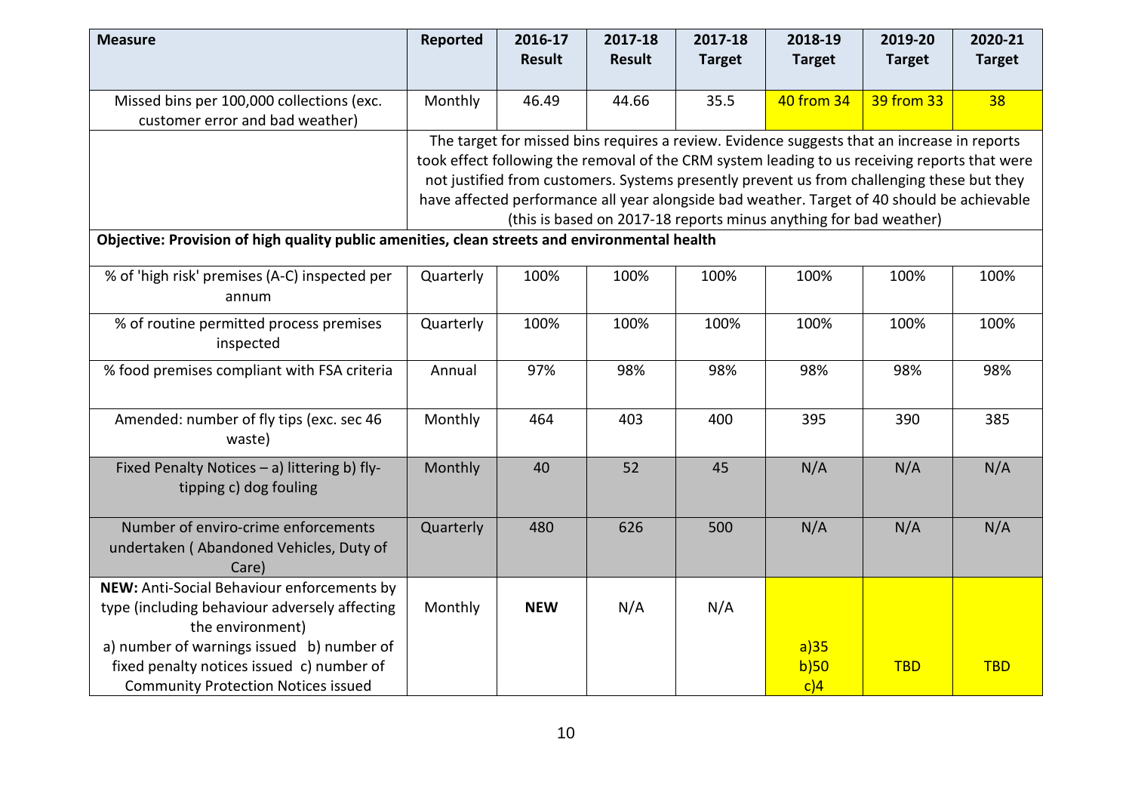| <b>Measure</b>                                                                                                                       | Reported  | 2016-17<br><b>Result</b>                                                                                                                                                                                                                                                                                                                                                                                                                                       | 2017-18<br><b>Result</b> | 2017-18<br><b>Target</b> | 2018-19<br><b>Target</b> | 2019-20<br><b>Target</b> | 2020-21<br><b>Target</b> |  |  |  |
|--------------------------------------------------------------------------------------------------------------------------------------|-----------|----------------------------------------------------------------------------------------------------------------------------------------------------------------------------------------------------------------------------------------------------------------------------------------------------------------------------------------------------------------------------------------------------------------------------------------------------------------|--------------------------|--------------------------|--------------------------|--------------------------|--------------------------|--|--|--|
| Missed bins per 100,000 collections (exc.<br>customer error and bad weather)                                                         | Monthly   | 46.49                                                                                                                                                                                                                                                                                                                                                                                                                                                          | 44.66                    | 35.5                     | 40 from 34               | 39 from 33               | 38                       |  |  |  |
| Objective: Provision of high quality public amenities, clean streets and environmental health                                        |           | The target for missed bins requires a review. Evidence suggests that an increase in reports<br>took effect following the removal of the CRM system leading to us receiving reports that were<br>not justified from customers. Systems presently prevent us from challenging these but they<br>have affected performance all year alongside bad weather. Target of 40 should be achievable<br>(this is based on 2017-18 reports minus anything for bad weather) |                          |                          |                          |                          |                          |  |  |  |
| % of 'high risk' premises (A-C) inspected per<br>annum                                                                               | Quarterly | 100%                                                                                                                                                                                                                                                                                                                                                                                                                                                           | 100%                     | 100%                     | 100%                     | 100%                     | 100%                     |  |  |  |
| % of routine permitted process premises<br>inspected                                                                                 | Quarterly | 100%                                                                                                                                                                                                                                                                                                                                                                                                                                                           | 100%                     | 100%                     | 100%                     | 100%                     | 100%                     |  |  |  |
| % food premises compliant with FSA criteria                                                                                          | Annual    | 97%                                                                                                                                                                                                                                                                                                                                                                                                                                                            | 98%                      | 98%                      | 98%                      | 98%                      | 98%                      |  |  |  |
| Amended: number of fly tips (exc. sec 46<br>waste)                                                                                   | Monthly   | 464                                                                                                                                                                                                                                                                                                                                                                                                                                                            | 403                      | 400                      | 395                      | 390                      | 385                      |  |  |  |
| Fixed Penalty Notices - a) littering b) fly-<br>tipping c) dog fouling                                                               | Monthly   | 40                                                                                                                                                                                                                                                                                                                                                                                                                                                             | 52                       | 45                       | N/A                      | N/A                      | N/A                      |  |  |  |
| Number of enviro-crime enforcements<br>undertaken (Abandoned Vehicles, Duty of<br>Care)                                              | Quarterly | 480                                                                                                                                                                                                                                                                                                                                                                                                                                                            | 626                      | 500                      | N/A                      | N/A                      | N/A                      |  |  |  |
| NEW: Anti-Social Behaviour enforcements by<br>type (including behaviour adversely affecting<br>the environment)                      | Monthly   | <b>NEW</b>                                                                                                                                                                                                                                                                                                                                                                                                                                                     | N/A                      | N/A                      |                          |                          |                          |  |  |  |
| a) number of warnings issued b) number of<br>fixed penalty notices issued c) number of<br><b>Community Protection Notices issued</b> |           |                                                                                                                                                                                                                                                                                                                                                                                                                                                                |                          |                          | a)35<br>b)50<br>c)4      | <b>TBD</b>               | <b>TBD</b>               |  |  |  |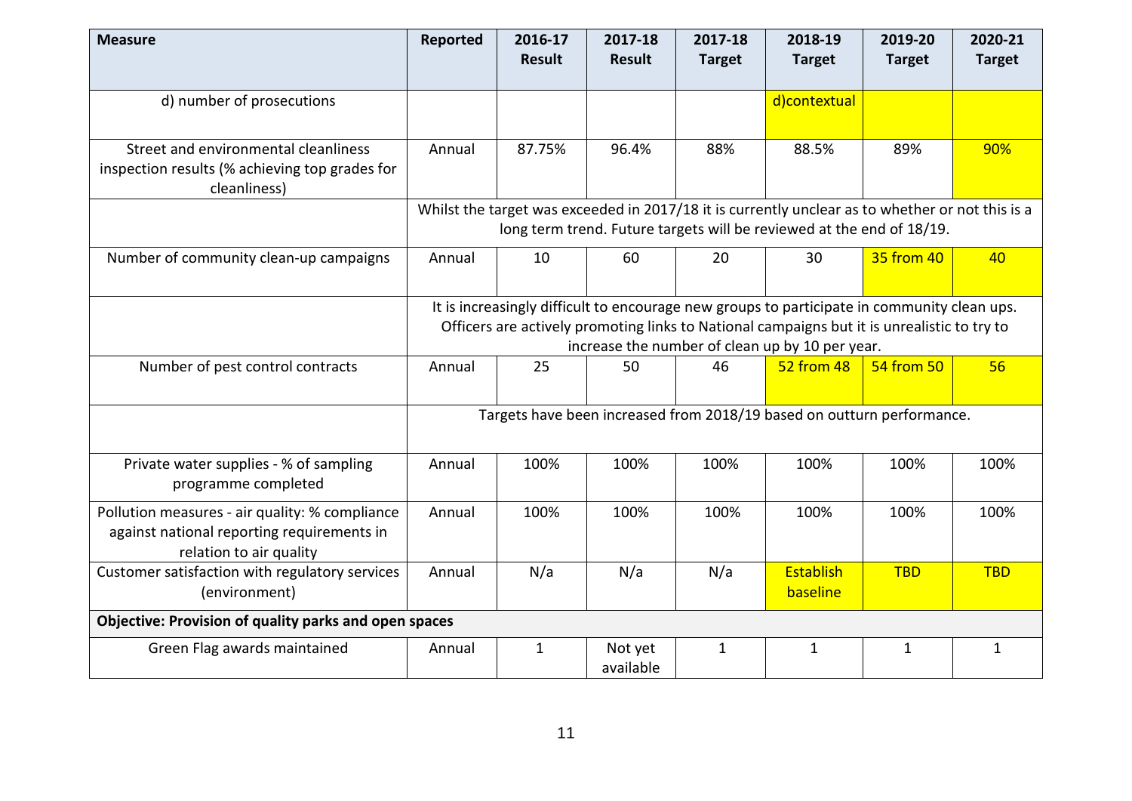| <b>Measure</b>                                                                                                          | Reported | 2016-17<br><b>Result</b> | 2017-18<br><b>Result</b> | 2017-18<br><b>Target</b> | 2018-19<br><b>Target</b>                                                                         | 2019-20<br><b>Target</b> | 2020-21<br><b>Target</b> |
|-------------------------------------------------------------------------------------------------------------------------|----------|--------------------------|--------------------------|--------------------------|--------------------------------------------------------------------------------------------------|--------------------------|--------------------------|
|                                                                                                                         |          |                          |                          |                          |                                                                                                  |                          |                          |
| d) number of prosecutions                                                                                               |          |                          |                          |                          | d)contextual                                                                                     |                          |                          |
|                                                                                                                         |          |                          |                          |                          |                                                                                                  |                          |                          |
| Street and environmental cleanliness<br>inspection results (% achieving top grades for<br>cleanliness)                  | Annual   | 87.75%                   | 96.4%                    | 88%                      | 88.5%                                                                                            | 89%                      | 90%                      |
|                                                                                                                         |          |                          |                          |                          | Whilst the target was exceeded in 2017/18 it is currently unclear as to whether or not this is a |                          |                          |
|                                                                                                                         |          |                          |                          |                          | long term trend. Future targets will be reviewed at the end of 18/19.                            |                          |                          |
| Number of community clean-up campaigns                                                                                  | Annual   | 10                       | 60                       | 20                       | 30                                                                                               | 35 from 40               | 40                       |
|                                                                                                                         |          |                          |                          |                          | It is increasingly difficult to encourage new groups to participate in community clean ups.      |                          |                          |
|                                                                                                                         |          |                          |                          |                          | Officers are actively promoting links to National campaigns but it is unrealistic to try to      |                          |                          |
|                                                                                                                         |          |                          |                          |                          | increase the number of clean up by 10 per year.                                                  |                          |                          |
| Number of pest control contracts                                                                                        | Annual   | 25                       | 50                       | 46                       | 52 from 48                                                                                       | 54 from 50               | 56                       |
|                                                                                                                         |          |                          |                          |                          | Targets have been increased from 2018/19 based on outturn performance.                           |                          |                          |
| Private water supplies - % of sampling<br>programme completed                                                           | Annual   | 100%                     | 100%                     | 100%                     | 100%                                                                                             | 100%                     | 100%                     |
| Pollution measures - air quality: % compliance<br>against national reporting requirements in<br>relation to air quality | Annual   | 100%                     | 100%                     | 100%                     | 100%                                                                                             | 100%                     | 100%                     |
| Customer satisfaction with regulatory services<br>(environment)                                                         | Annual   | N/a                      | N/a                      | N/a                      | Establish<br>baseline                                                                            | <b>TBD</b>               | <b>TBD</b>               |
| Objective: Provision of quality parks and open spaces                                                                   |          |                          |                          |                          |                                                                                                  |                          |                          |
| Green Flag awards maintained                                                                                            | Annual   | $\mathbf{1}$             | Not yet<br>available     | $\mathbf{1}$             | $\mathbf{1}$                                                                                     | $\mathbf{1}$             | $\mathbf{1}$             |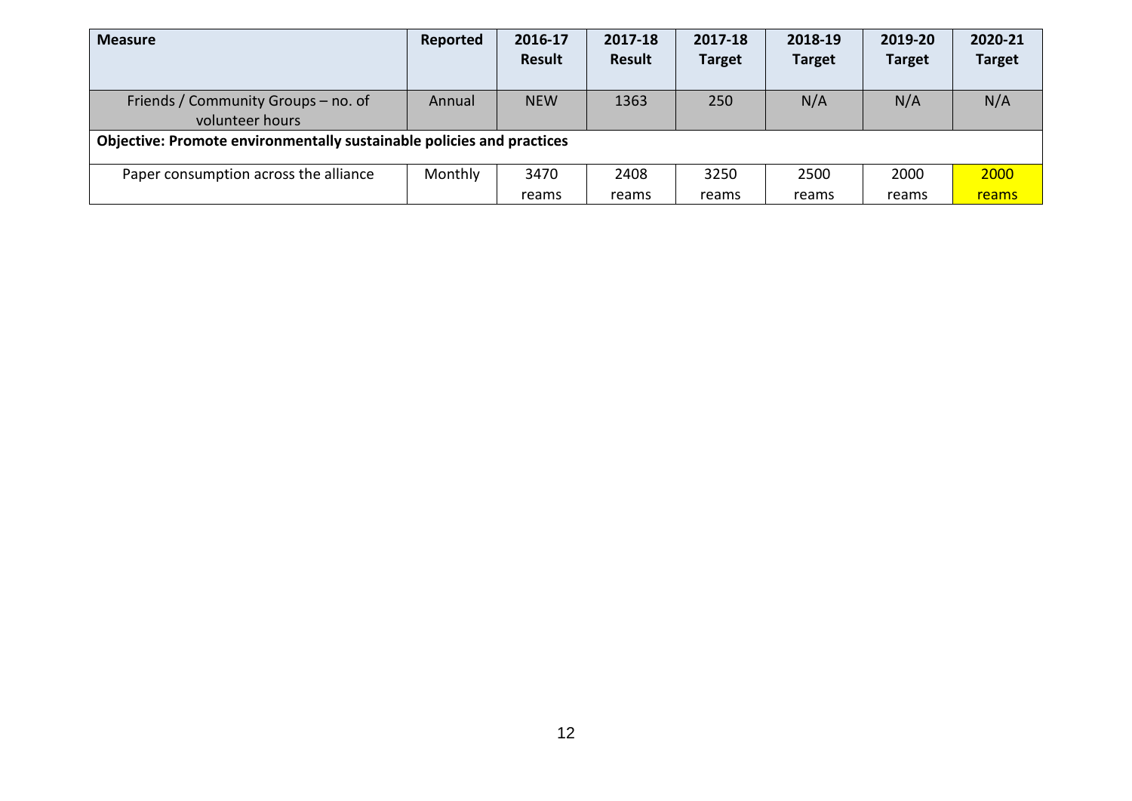| <b>Measure</b>                                                        | Reported | 2016-17    | 2017-18 | 2017-18       | 2018-19       | 2019-20       | 2020-21       |
|-----------------------------------------------------------------------|----------|------------|---------|---------------|---------------|---------------|---------------|
|                                                                       |          | Result     | Result  | <b>Target</b> | <b>Target</b> | <b>Target</b> | <b>Target</b> |
|                                                                       |          |            |         |               |               |               |               |
| Friends / Community Groups – no. of                                   | Annual   | <b>NEW</b> | 1363    | 250           | N/A           | N/A           | N/A           |
| volunteer hours                                                       |          |            |         |               |               |               |               |
| Objective: Promote environmentally sustainable policies and practices |          |            |         |               |               |               |               |
|                                                                       |          |            |         |               |               |               |               |
| Paper consumption across the alliance                                 | Monthly  | 3470       | 2408    | 3250          | 2500          | 2000          | 2000          |
|                                                                       |          | reams      | reams   | reams         | reams         | reams         | reams         |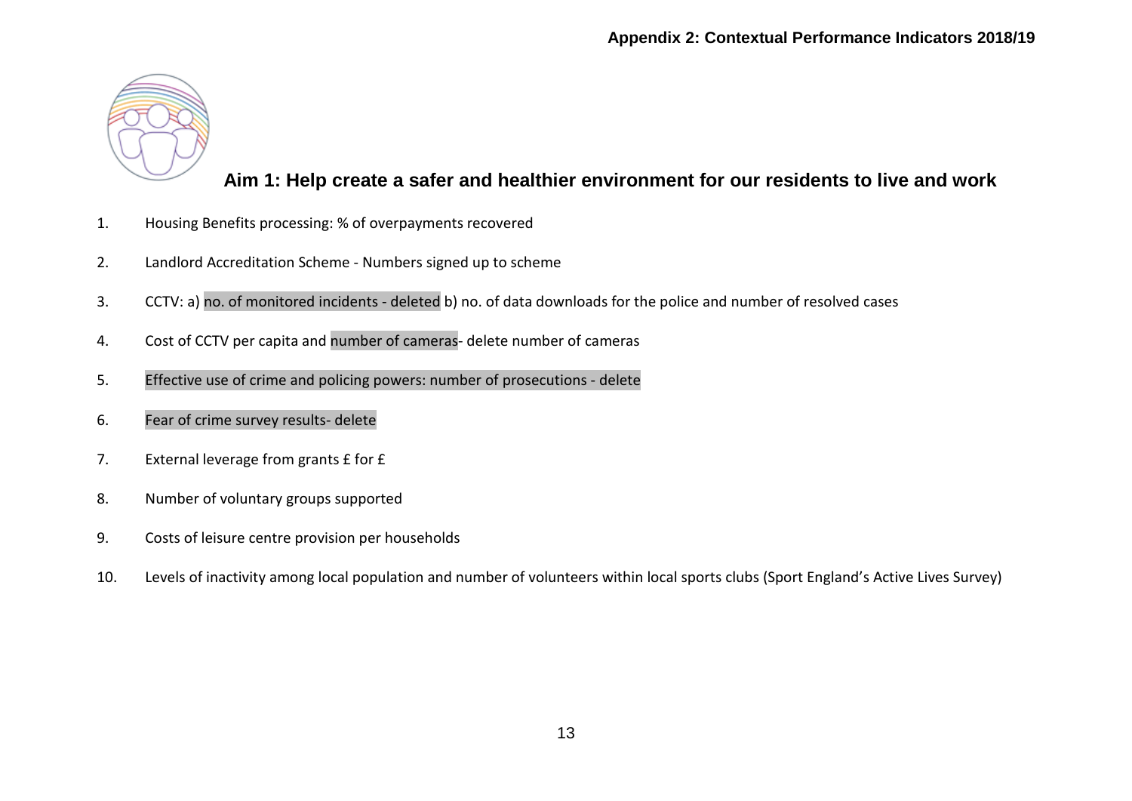

#### **Aim 1: Help create a safer and healthier environment for our residents to live and work**

- 1. Housing Benefits processing: % of overpayments recovered
- 2. Landlord Accreditation Scheme Numbers signed up to scheme
- 3. CCTV: a) no. of monitored incidents deleted b) no. of data downloads for the police and number of resolved cases
- 4. Cost of CCTV per capita and number of cameras- delete number of cameras
- 5. Effective use of crime and policing powers: number of prosecutions delete
- 6. Fear of crime survey results- delete
- 7. External leverage from grants £ for £
- 8. Number of voluntary groups supported
- 9. Costs of leisure centre provision per households
- 10. Levels of inactivity among local population and number of volunteers within local sports clubs (Sport England's Active Lives Survey)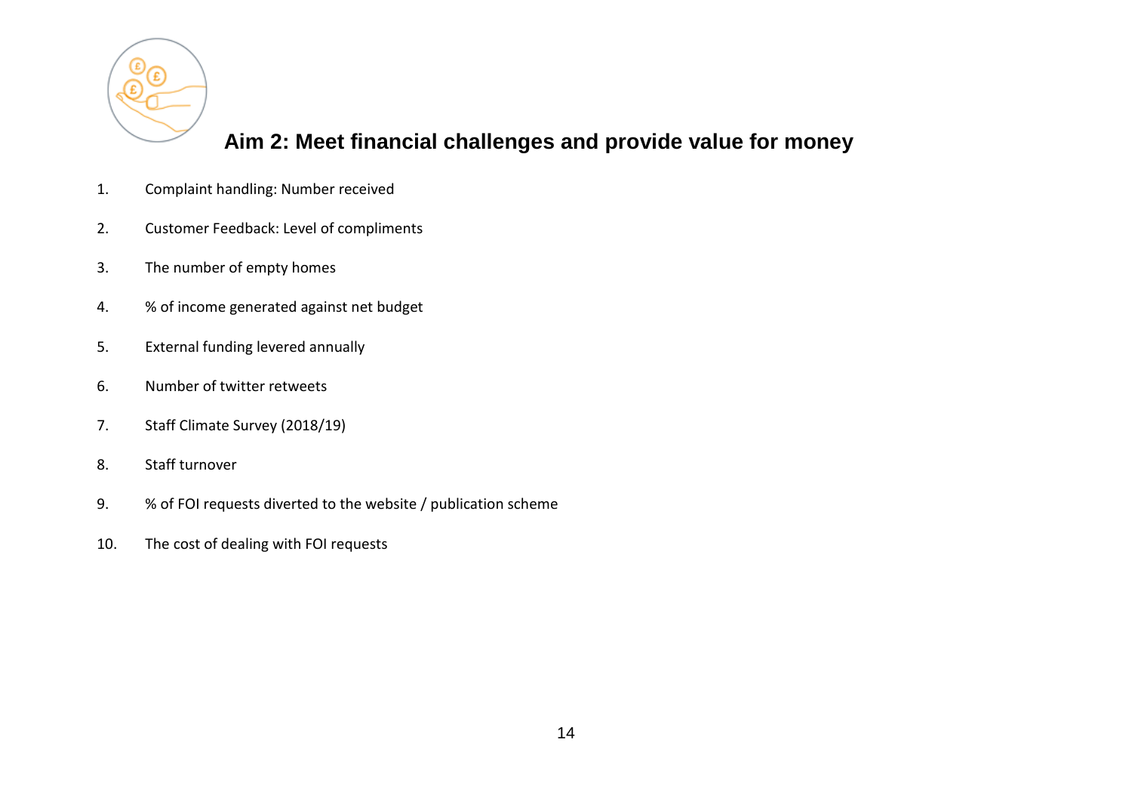

### **Aim 2: Meet financial challenges and provide value for money**

- 1. Complaint handling: Number received
- 2. Customer Feedback: Level of compliments
- 3. The number of empty homes
- 4. % of income generated against net budget
- 5. External funding levered annually
- 6. Number of twitter retweets
- 7. Staff Climate Survey (2018/19)
- 8. Staff turnover
- 9. % of FOI requests diverted to the website / publication scheme
- 10. The cost of dealing with FOI requests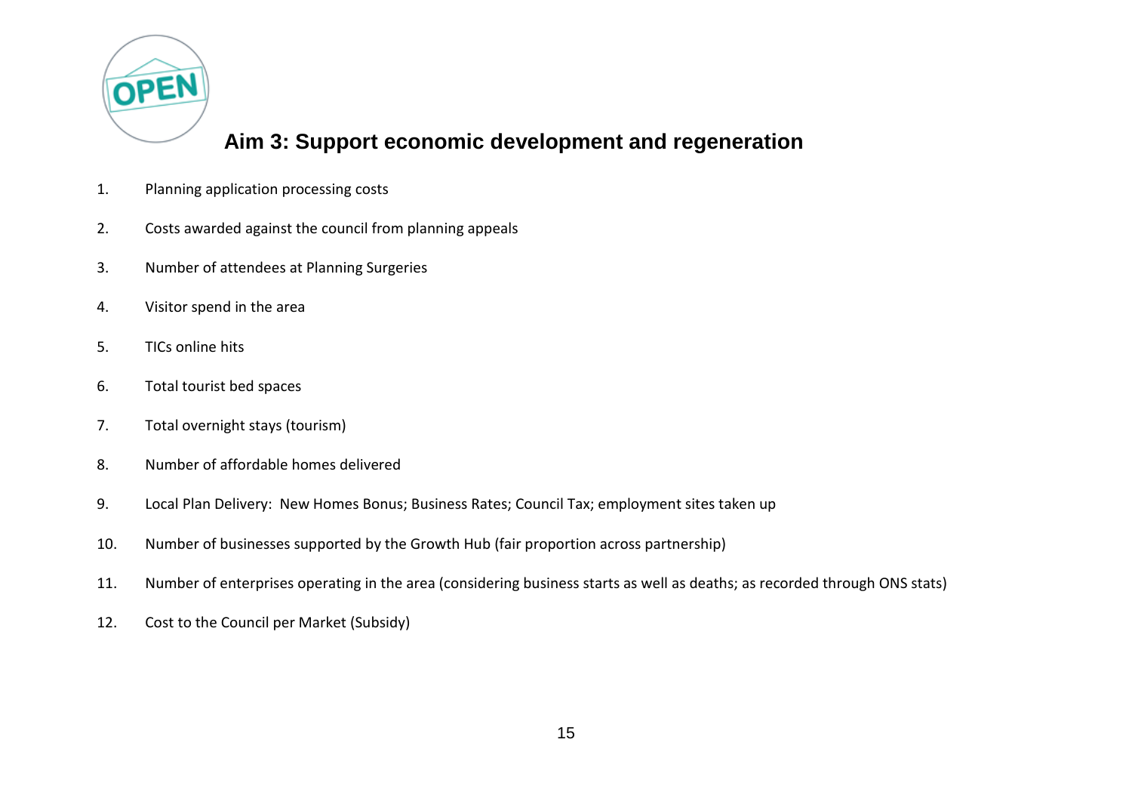

#### **Aim 3: Support economic development and regeneration**

- 1. Planning application processing costs
- 2. Costs awarded against the council from planning appeals
- 3. Number of attendees at Planning Surgeries
- 4. Visitor spend in the area
- 5. TICs online hits
- 6. Total tourist bed spaces
- 7. Total overnight stays (tourism)
- 8. Number of affordable homes delivered
- 9. Local Plan Delivery: New Homes Bonus; Business Rates; Council Tax; employment sites taken up
- 10. Number of businesses supported by the Growth Hub (fair proportion across partnership)
- 11. Number of enterprises operating in the area (considering business starts as well as deaths; as recorded through ONS stats)
- 12. Cost to the Council per Market (Subsidy)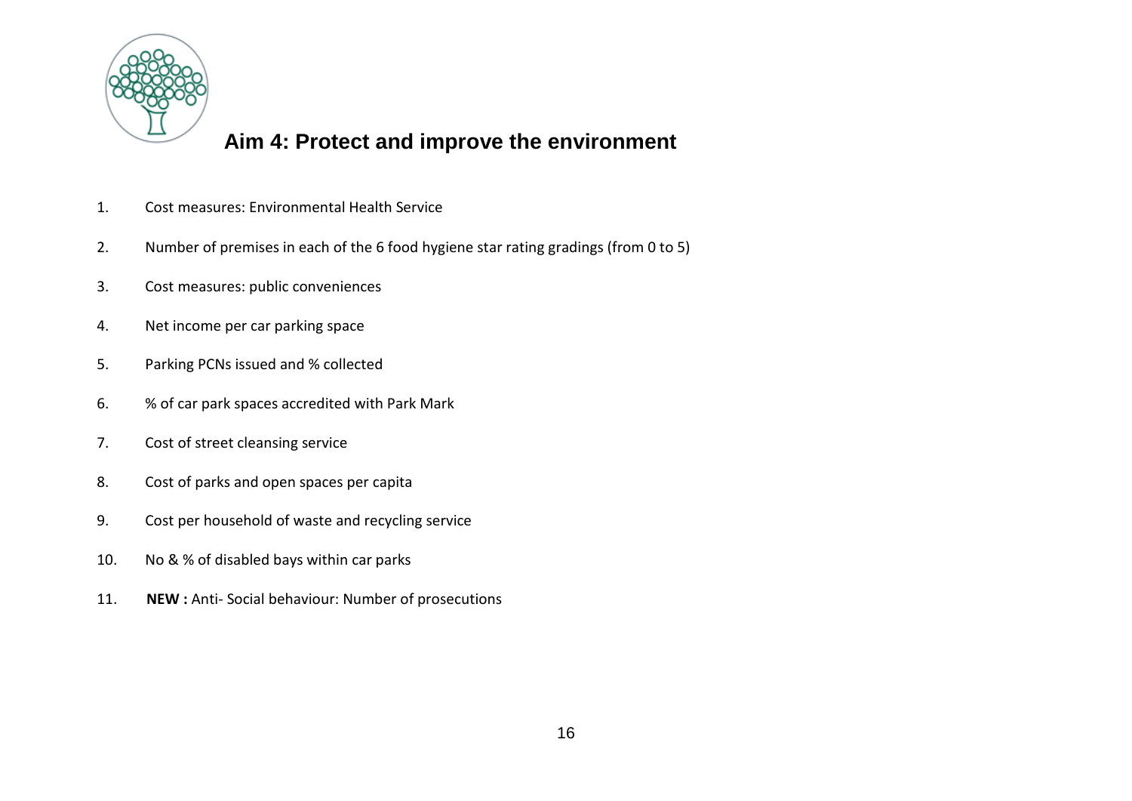

#### **Aim 4: Protect and improve the environment**

- 1. Cost measures: Environmental Health Service
- 2. Number of premises in each of the 6 food hygiene star rating gradings (from 0 to 5)
- 3. Cost measures: public conveniences
- 4. Net income per car parking space
- 5. Parking PCNs issued and % collected
- 6. % of car park spaces accredited with Park Mark
- 7. Cost of street cleansing service
- 8. Cost of parks and open spaces per capita
- 9. Cost per household of waste and recycling service
- 10. No & % of disabled bays within car parks
- 11. **NEW :** Anti- Social behaviour: Number of prosecutions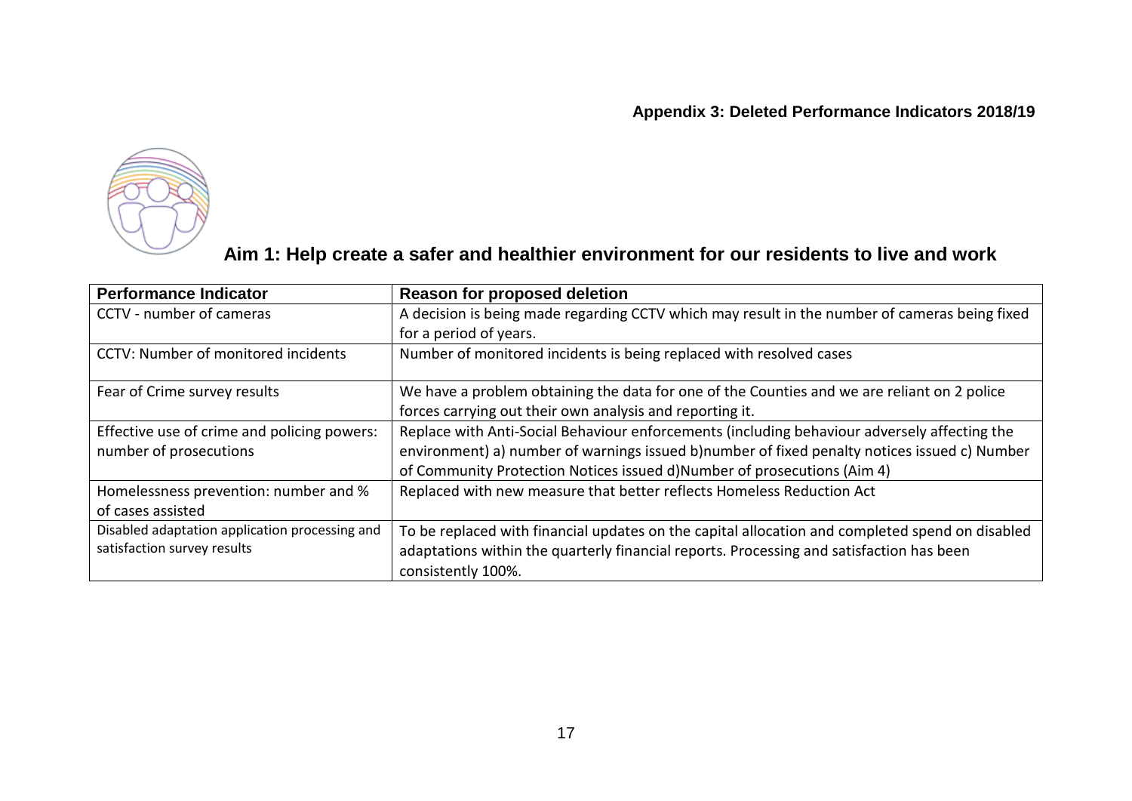

#### **Aim 1: Help create a safer and healthier environment for our residents to live and work**

| <b>Performance Indicator</b>                                                  | <b>Reason for proposed deletion</b>                                                                                                                                                                                                                                     |
|-------------------------------------------------------------------------------|-------------------------------------------------------------------------------------------------------------------------------------------------------------------------------------------------------------------------------------------------------------------------|
| CCTV - number of cameras                                                      | A decision is being made regarding CCTV which may result in the number of cameras being fixed<br>for a period of years.                                                                                                                                                 |
| <b>CCTV: Number of monitored incidents</b>                                    | Number of monitored incidents is being replaced with resolved cases                                                                                                                                                                                                     |
| Fear of Crime survey results                                                  | We have a problem obtaining the data for one of the Counties and we are reliant on 2 police<br>forces carrying out their own analysis and reporting it.                                                                                                                 |
| Effective use of crime and policing powers:<br>number of prosecutions         | Replace with Anti-Social Behaviour enforcements (including behaviour adversely affecting the<br>environment) a) number of warnings issued b)number of fixed penalty notices issued c) Number<br>of Community Protection Notices issued d)Number of prosecutions (Aim 4) |
| Homelessness prevention: number and %<br>of cases assisted                    | Replaced with new measure that better reflects Homeless Reduction Act                                                                                                                                                                                                   |
| Disabled adaptation application processing and<br>satisfaction survey results | To be replaced with financial updates on the capital allocation and completed spend on disabled<br>adaptations within the quarterly financial reports. Processing and satisfaction has been<br>consistently 100%.                                                       |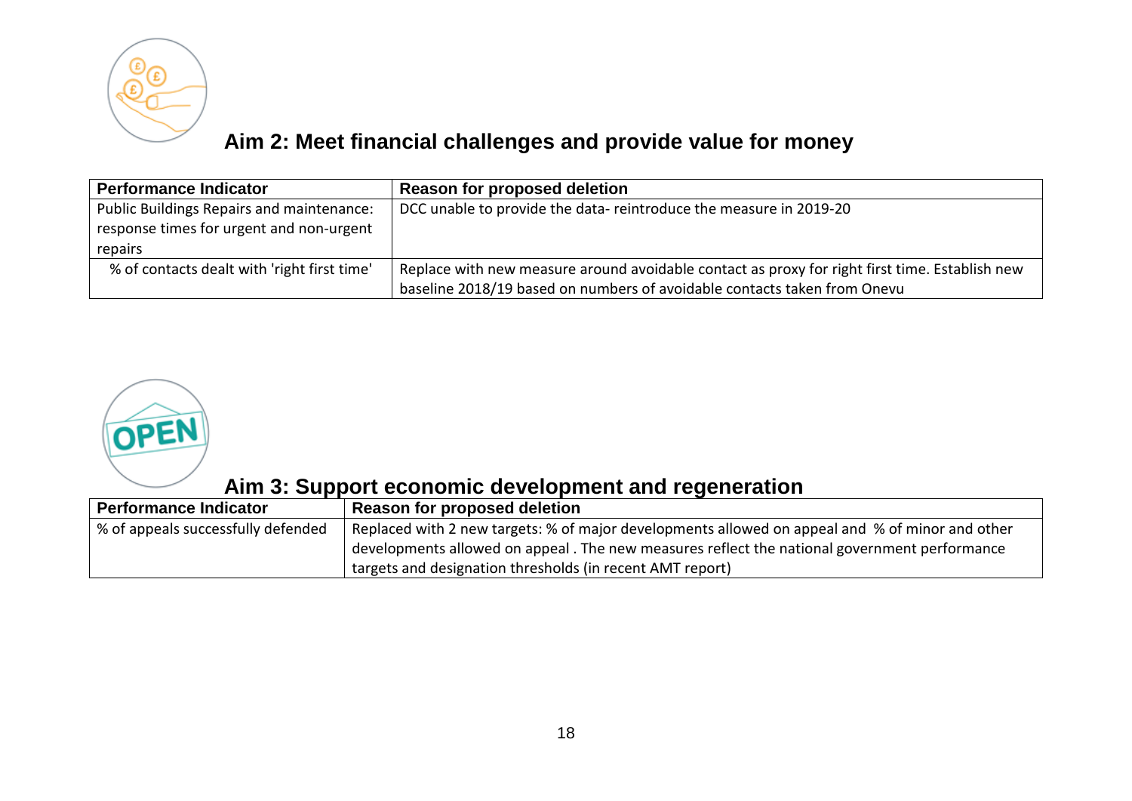

## **Aim 2: Meet financial challenges and provide value for money**

| <b>Performance Indicator</b>                                                          | Reason for proposed deletion                                                                   |
|---------------------------------------------------------------------------------------|------------------------------------------------------------------------------------------------|
| Public Buildings Repairs and maintenance:<br>response times for urgent and non-urgent | DCC unable to provide the data-reintroduce the measure in 2019-20                              |
| repairs                                                                               |                                                                                                |
| % of contacts dealt with 'right first time'                                           | Replace with new measure around avoidable contact as proxy for right first time. Establish new |
|                                                                                       | baseline 2018/19 based on numbers of avoidable contacts taken from Onevu                       |



#### **Aim 3: Support economic development and regeneration**

| <b>Performance Indicator</b>       | Reason for proposed deletion                                                                    |
|------------------------------------|-------------------------------------------------------------------------------------------------|
| % of appeals successfully defended | Replaced with 2 new targets: % of major developments allowed on appeal and % of minor and other |
|                                    | developments allowed on appeal. The new measures reflect the national government performance    |
|                                    | targets and designation thresholds (in recent AMT report)                                       |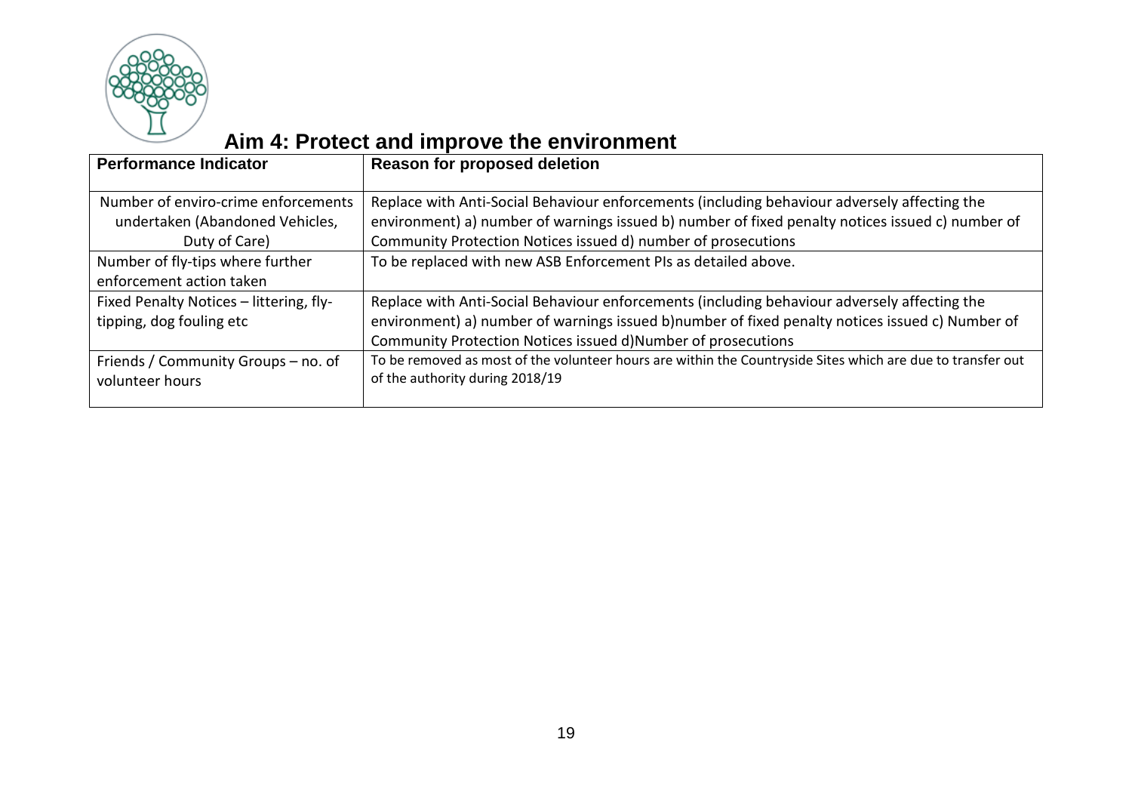

# **Aim 4: Protect and improve the environment**

| <b>Performance Indicator</b>                                                            | <b>Reason for proposed deletion</b>                                                                                                                                                                                                                               |
|-----------------------------------------------------------------------------------------|-------------------------------------------------------------------------------------------------------------------------------------------------------------------------------------------------------------------------------------------------------------------|
| Number of enviro-crime enforcements<br>undertaken (Abandoned Vehicles,<br>Duty of Care) | Replace with Anti-Social Behaviour enforcements (including behaviour adversely affecting the<br>environment) a) number of warnings issued b) number of fixed penalty notices issued c) number of<br>Community Protection Notices issued d) number of prosecutions |
| Number of fly-tips where further<br>enforcement action taken                            | To be replaced with new ASB Enforcement PIs as detailed above.                                                                                                                                                                                                    |
| Fixed Penalty Notices - littering, fly-<br>tipping, dog fouling etc                     | Replace with Anti-Social Behaviour enforcements (including behaviour adversely affecting the<br>environment) a) number of warnings issued b)number of fixed penalty notices issued c) Number of<br>Community Protection Notices issued d)Number of prosecutions   |
| Friends / Community Groups - no. of<br>volunteer hours                                  | To be removed as most of the volunteer hours are within the Countryside Sites which are due to transfer out<br>of the authority during 2018/19                                                                                                                    |